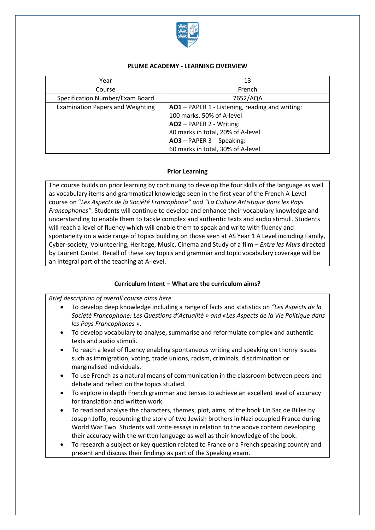

### **PLUME ACADEMY - LEARNING OVERVIEW**

| Year                                    | 13                                              |
|-----------------------------------------|-------------------------------------------------|
| Course                                  | French                                          |
| Specification Number/Exam Board         | 7652/AQA                                        |
| <b>Examination Papers and Weighting</b> | AO1 - PAPER 1 - Listening, reading and writing: |
|                                         | 100 marks, 50% of A-level                       |
|                                         | AO2 - PAPER 2 - Writing:                        |
|                                         | 80 marks in total, 20% of A-level               |
|                                         | AO3 - PAPER 3 - Speaking:                       |
|                                         | 60 marks in total, 30% of A-level               |

### **Prior Learning**

The course builds on prior learning by continuing to develop the four skills of the language as well as vocabulary items and grammatical knowledge seen in the first year of the French A-Level course on "*Les Aspects de la Société Francophone" and "La Culture Artistique dans les Pays Francophones"*. Students will continue to develop and enhance their vocabulary knowledge and understanding to enable them to tackle complex and authentic texts and audio stimuli. Students will reach a level of fluency which will enable them to speak and write with fluency and spontaneity on a wide range of topics building on those seen at AS Year 1 A Level including Family, Cyber-society, Volunteering, Heritage, Music, Cinema and Study of a film – *Entre les Murs* directed by Laurent Cantet. Recall of these key topics and grammar and topic vocabulary coverage will be an integral part of the teaching at A-level.

### **Curriculum Intent – What are the curriculum aims?**

*Brief description of overall course aims here*

- To develop deep knowledge including a range of facts and statistics on *"Les Aspects de la Société Francophone: Les Questions d'Actualité » and «Les Aspects de la Vie Politique dans les Pays Francophones ».*
- To develop vocabulary to analyse, summarise and reformulate complex and authentic texts and audio stimuli.
- To reach a level of fluency enabling spontaneous writing and speaking on thorny issues such as immigration, voting, trade unions, racism, criminals, discrimination or marginalised individuals.
- To use French as a natural means of communication in the classroom between peers and debate and reflect on the topics studied.
- To explore in depth French grammar and tenses to achieve an excellent level of accuracy for translation and written work.
- To read and analyse the characters, themes, plot, aims, of the book Un Sac de Billes by Joseph Joffo, recounting the story of two Jewish brothers in Nazi occupied France during World War Two. Students will write essays in relation to the above content developing their accuracy with the written language as well as their knowledge of the book.
- To research a subject or key question related to France or a French speaking country and present and discuss their findings as part of the Speaking exam.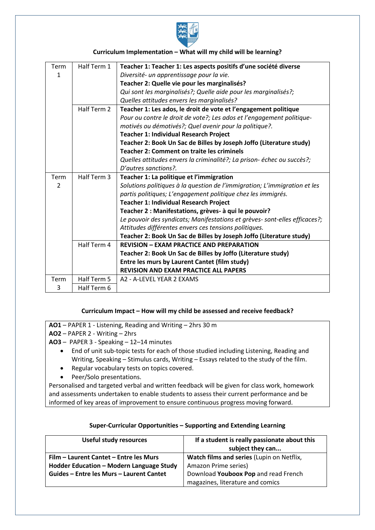

## **Curriculum Implementation – What will my child will be learning?**

| Term           | Half Term 1 | Teacher 1: Teacher 1: Les aspects positifs d'une société diverse           |  |
|----------------|-------------|----------------------------------------------------------------------------|--|
| 1              |             | Diversité- un apprentissage pour la vie.                                   |  |
|                |             | Teacher 2: Quelle vie pour les marginalisés?                               |  |
|                |             | Qui sont les marginalisés?; Quelle aide pour les marginalisés?;            |  |
|                |             | Quelles attitudes envers les marginalisés?                                 |  |
|                | Half Term 2 | Teacher 1: Les ados, le droit de vote et l'engagement politique            |  |
|                |             | Pour ou contre le droit de vote?; Les ados et l'engagement politique-      |  |
|                |             | motivés ou démotivés?; Quel avenir pour la politique?.                     |  |
|                |             | <b>Teacher 1: Individual Research Project</b>                              |  |
|                |             | Teacher 2: Book Un Sac de Billes by Joseph Joffo (Literature study)        |  |
|                |             | <b>Teacher 2: Comment on traite les criminels</b>                          |  |
|                |             | Quelles attitudes envers la criminalité?; La prison-échec ou succès?;      |  |
|                |             | D'autres sanctions?.                                                       |  |
| Term           | Half Term 3 | Teacher 1: La politique et l'immigration                                   |  |
| $\overline{2}$ |             | Solutions politiques à la question de l'immigration; L'immigration et les  |  |
|                |             | partis politiques; L'engagement politique chez les immigrés.               |  |
|                |             | Teacher 1: Individual Research Project                                     |  |
|                |             | Teacher 2 : Manifestations, grèves- à qui le pouvoir?                      |  |
|                |             | Le pouvoir des syndicats; Manifestations et grèves- sont-elles efficaces?; |  |
|                |             | Attitudes différentes envers ces tensions politiques.                      |  |
|                |             | Teacher 2: Book Un Sac de Billes by Joseph Joffo (Literature study)        |  |
|                | Half Term 4 | <b>REVISION - EXAM PRACTICE AND PREPARATION</b>                            |  |
|                |             | Teacher 2: Book Un Sac de Billes by Joffo (Literature study)               |  |
|                |             | Entre les murs by Laurent Cantet (film study)                              |  |
|                |             | <b>REVISION AND EXAM PRACTICE ALL PAPERS</b>                               |  |
| Term           | Half Term 5 | A2 - A-LEVEL YEAR 2 EXAMS                                                  |  |
| 3              | Half Term 6 |                                                                            |  |

### **Curriculum Impact – How will my child be assessed and receive feedback?**

**AO1** – PAPER 1 - Listening, Reading and Writing – 2hrs 30 m

**AO2** – PAPER 2 - Writing – 2hrs

- **AO3** PAPER 3 Speaking 12–14 minutes
	- End of unit sub-topic tests for each of those studied including Listening, Reading and Writing, Speaking – Stimulus cards, Writing – Essays related to the study of the film.
	- Regular vocabulary tests on topics covered.
	- Peer/Solo presentations.

Personalised and targeted verbal and written feedback will be given for class work, homework and assessments undertaken to enable students to assess their current performance and be informed of key areas of improvement to ensure continuous progress moving forward.

| <b>Useful study resources</b>            | If a student is really passionate about this<br>subject they can |
|------------------------------------------|------------------------------------------------------------------|
| Film – Laurent Cantet – Entre les Murs   | Watch films and series (Lupin on Netflix,                        |
| Hodder Education - Modern Language Study | Amazon Prime series)                                             |
| Guides – Entre les Murs – Laurent Cantet | Download Youboox Pop and read French                             |
|                                          | magazines, literature and comics                                 |

# **Super-Curricular Opportunities – Supporting and Extending Learning**